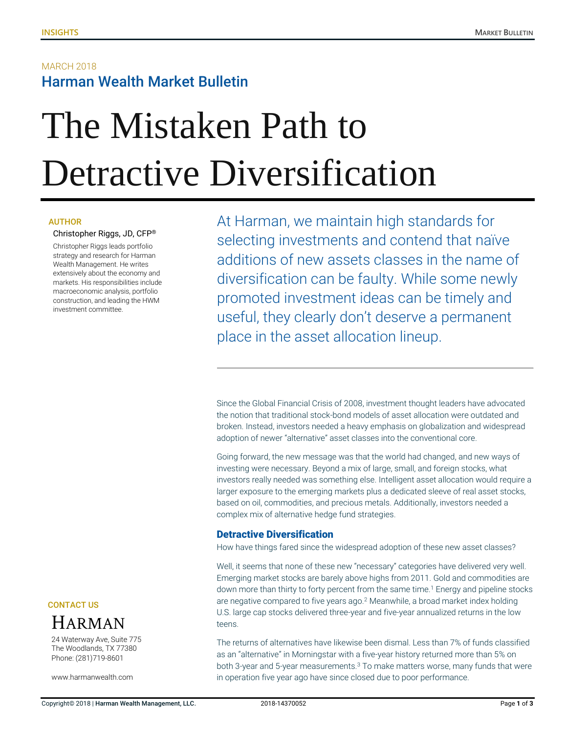## **MARCH 2018** Harman Wealth Market Bulletin

# The Mistaken Path to Detractive Diversification

#### AUTHOR

#### Christopher Riggs, JD, CFP®

Christopher Riggs leads portfolio strategy and research for Harman Wealth Management. He writes extensively about the economy and markets. His responsibilities include macroeconomic analysis, portfolio construction, and leading the HWM investment committee.

At Harman, we maintain high standards for selecting investments and contend that naïve additions of new assets classes in the name of diversification can be faulty. While some newly promoted investment ideas can be timely and useful, they clearly don't deserve a permanent place in the asset allocation lineup.

Since the Global Financial Crisis of 2008, investment thought leaders have advocated the notion that traditional stock-bond models of asset allocation were outdated and broken. Instead, investors needed a heavy emphasis on globalization and widespread adoption of newer "alternative" asset classes into the conventional core.

Going forward, the new message was that the world had changed, and new ways of investing were necessary. Beyond a mix of large, small, and foreign stocks, what investors really needed was something else. Intelligent asset allocation would require a larger exposure to the emerging markets plus a dedicated sleeve of real asset stocks, based on oil, commodities, and precious metals. Additionally, investors needed a complex mix of alternative hedge fund strategies.

#### Detractive Diversification

How have things fared since the widespread adoption of these new asset classes?

Well, it seems that none of these new "necessary" categories have delivered very well. Emerging market stocks are barely above highs from 2011. Gold and commodities are down more than thirty to forty percent from the same time. <sup>1</sup> Energy and pipeline stocks are negative compared to five years ago.<sup>2</sup> Meanwhile, a broad market index holding U.S. large cap stocks delivered three-year and five-year annualized returns in the low teens.

The returns of alternatives have likewise been dismal. Less than 7% of funds classified as an "alternative" in Morningstar with a five-year history returned more than 5% on both 3-year and 5-year measurements.<sup>3</sup> To make matters worse, many funds that were in operation five year ago have since closed due to poor performance.

CONTACT US



24 Waterway Ave, Suite 775 The Woodlands, TX 77380 Phone: (281)719-8601

www.harmanwealth.com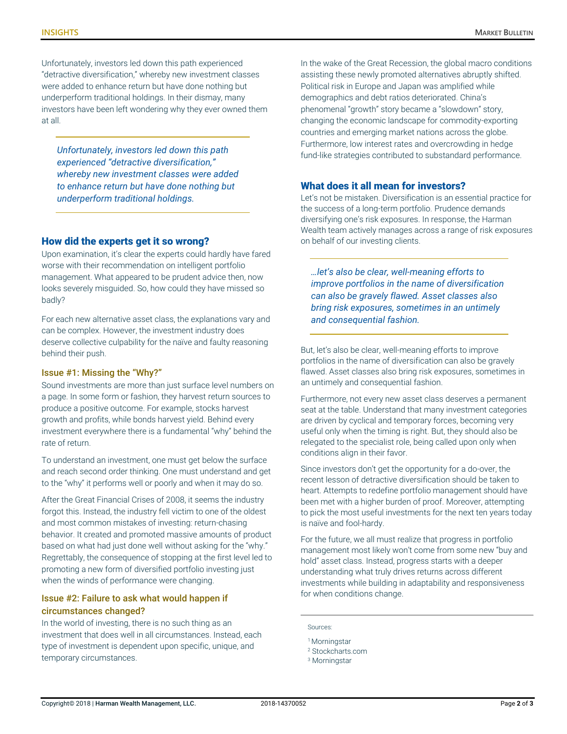Unfortunately, investors led down this path experienced "detractive diversification," whereby new investment classes were added to enhance return but have done nothing but underperform traditional holdings. In their dismay, many investors have been left wondering why they ever owned them at all.

*Unfortunately, investors led down this path experienced "detractive diversification," whereby new investment classes were added to enhance return but have done nothing but underperform traditional holdings.*

#### How did the experts get it so wrong?

Upon examination, it's clear the experts could hardly have fared worse with their recommendation on intelligent portfolio management. What appeared to be prudent advice then, now looks severely misguided. So, how could they have missed so badly?

For each new alternative asset class, the explanations vary and can be complex. However, the investment industry does deserve collective culpability for the naïve and faulty reasoning behind their push.

#### Issue #1: Missing the "Why?"

Sound investments are more than just surface level numbers on a page. In some form or fashion, they harvest return sources to produce a positive outcome. For example, stocks harvest growth and profits, while bonds harvest yield. Behind every investment everywhere there is a fundamental "why" behind the rate of return.

To understand an investment, one must get below the surface and reach second order thinking. One must understand and get to the "why" it performs well or poorly and when it may do so.

After the Great Financial Crises of 2008, it seems the industry forgot this. Instead, the industry fell victim to one of the oldest and most common mistakes of investing: return-chasing behavior. It created and promoted massive amounts of product based on what had just done well without asking for the "why." Regrettably, the consequence of stopping at the first level led to promoting a new form of diversified portfolio investing just when the winds of performance were changing.

#### Issue #2: Failure to ask what would happen if circumstances changed?

In the world of investing, there is no such thing as an investment that does well in all circumstances. Instead, each type of investment is dependent upon specific, unique, and temporary circumstances.

In the wake of the Great Recession, the global macro conditions assisting these newly promoted alternatives abruptly shifted. Political risk in Europe and Japan was amplified while demographics and debt ratios deteriorated. China's phenomenal "growth" story became a "slowdown" story, changing the economic landscape for commodity-exporting countries and emerging market nations across the globe. Furthermore, low interest rates and overcrowding in hedge fund-like strategies contributed to substandard performance.

#### What does it all mean for investors?

Let's not be mistaken. Diversification is an essential practice for the success of a long-term portfolio. Prudence demands diversifying one's risk exposures. In response, the Harman Wealth team actively manages across a range of risk exposures on behalf of our investing clients.

*…let's also be clear, well-meaning efforts to improve portfolios in the name of diversification can also be gravely flawed. Asset classes also bring risk exposures, sometimes in an untimely and consequential fashion.*

But, let's also be clear, well-meaning efforts to improve portfolios in the name of diversification can also be gravely flawed. Asset classes also bring risk exposures, sometimes in an untimely and consequential fashion.

Furthermore, not every new asset class deserves a permanent seat at the table. Understand that many investment categories are driven by cyclical and temporary forces, becoming very useful only when the timing is right. But, they should also be relegated to the specialist role, being called upon only when conditions align in their favor.

Since investors don't get the opportunity for a do-over, the recent lesson of detractive diversification should be taken to heart. Attempts to redefine portfolio management should have been met with a higher burden of proof. Moreover, attempting to pick the most useful investments for the next ten years today is naïve and fool-hardy.

For the future, we all must realize that progress in portfolio management most likely won't come from some new "buy and hold" asset class. Instead, progress starts with a deeper understanding what truly drives returns across different investments while building in adaptability and responsiveness for when conditions change.

Sources:

<sup>&</sup>lt;sup>1</sup> Morningstar

<sup>2</sup> Stockcharts.com

<sup>3</sup> Morningstar